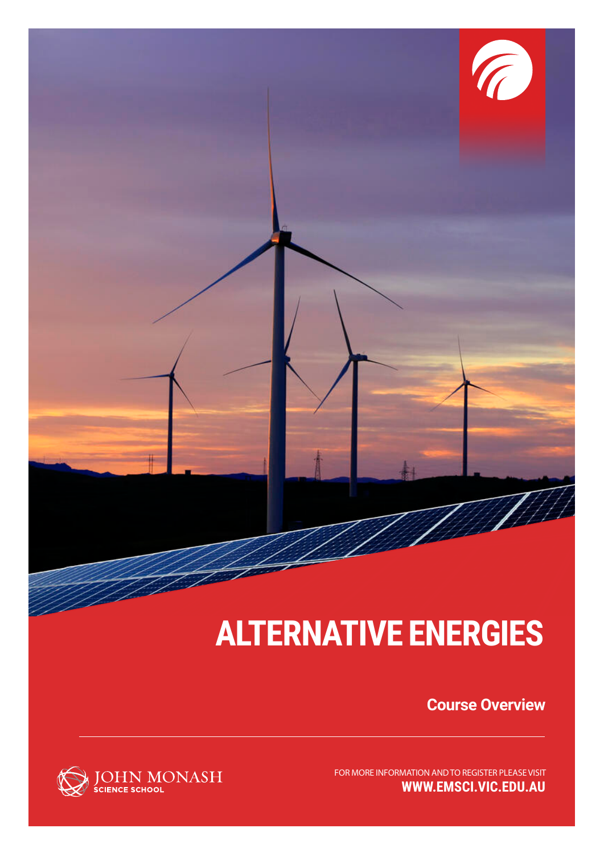

## **ALTERNATIVE ENERGIES**

**Course Overview**

**WWW.EMSCI.VIC.EDU.AU** FOR MORE INFORMATION AND TO REGISTER PLEASE VISIT